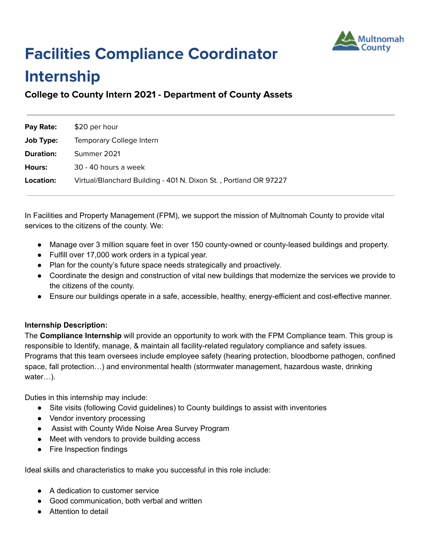

# **Facilities Compliance Coordinator**

# **Internship**

**College to County Intern 2021 - Department of County Assets**

| Pay Rate:        | \$20 per hour                                                    |
|------------------|------------------------------------------------------------------|
| Job Type:        | Temporary College Intern                                         |
| <b>Duration:</b> | Summer 2021                                                      |
| Hours:           | 30 - 40 hours a week                                             |
| Location:        | Virtual/Blanchard Building - 401 N. Dixon St., Portland OR 97227 |

In Facilities and Property Management (FPM), we support the mission of Multnomah County to provide vital services to the citizens of the county. We:

- Manage over 3 million square feet in over 150 county-owned or county-leased buildings and property.
- Fulfill over 17,000 work orders in a typical year.
- Plan for the county's future space needs strategically and proactively.
- Coordinate the design and construction of vital new buildings that modernize the services we provide to the citizens of the county.
- Ensure our buildings operate in a safe, accessible, healthy, energy-efficient and cost-effective manner.

## **Internship Description:**

The **Compliance Internship** will provide an opportunity to work with the FPM Compliance team. This group is responsible to Identify, manage, & maintain all facility-related regulatory compliance and safety issues. Programs that this team oversees include employee safety (hearing protection, bloodborne pathogen, confined space, fall protection…) and environmental health (stormwater management, hazardous waste, drinking water…).

Duties in this internship may include:

- Site visits (following Covid guidelines) to County buildings to assist with inventories
- Vendor inventory processing
- Assist with County Wide Noise Area Survey Program
- Meet with vendors to provide building access
- Fire Inspection findings

Ideal skills and characteristics to make you successful in this role include:

- A dedication to customer service
- Good communication, both verbal and written
- Attention to detail